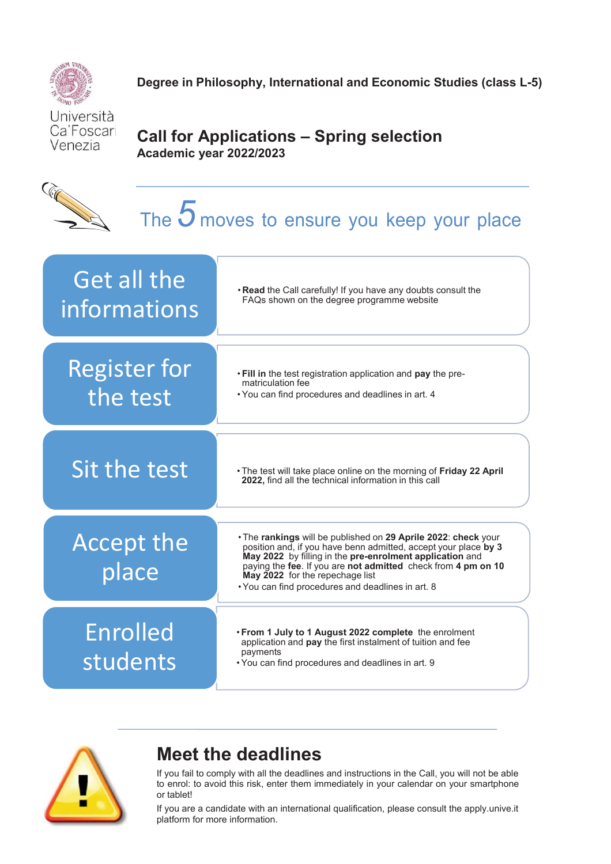

**Degree in Philosophy, International and Economic Studies (class L-5)** 

Università Ca'Foscari Venezia

**City of City of City of City of City of City of City of City of City of City of City of City of City of City** 

## **Call for Applications – Spring selection Academic year 2022/2023**

# The *5* moves to ensure you keep your place

| Get all the<br>informations     | . Read the Call carefully! If you have any doubts consult the<br>FAQs shown on the degree programme website                                                                                                                                                                                                                                            |
|---------------------------------|--------------------------------------------------------------------------------------------------------------------------------------------------------------------------------------------------------------------------------------------------------------------------------------------------------------------------------------------------------|
| <b>Register for</b><br>the test | . Fill in the test registration application and pay the pre-<br>matriculation fee<br>. You can find procedures and deadlines in art. 4                                                                                                                                                                                                                 |
| Sit the test                    | • The test will take place online on the morning of Friday 22 April<br>2022, find all the technical information in this call                                                                                                                                                                                                                           |
| <b>Accept the</b><br>place      | . The rankings will be published on 29 Aprile 2022: check your<br>position and, if you have benn admitted, accept your place by 3<br>May 2022 by filling in the pre-enrolment application and<br>paying the fee. If you are not admitted check from 4 pm on 10<br>May 2022 for the repechage list<br>. You can find procedures and deadlines in art. 8 |
| <b>Enrolled</b><br>students     | . From 1 July to 1 August 2022 complete the enrolment<br>application and pay the first instalment of tuition and fee<br>payments<br>. You can find procedures and deadlines in art. 9                                                                                                                                                                  |



## **Meet the deadlines**

If you fail to comply with all the deadlines and instructions in the Call, you will not be able to enrol: to avoid this risk, enter them immediately in your calendar on your smartphone or tablet!

If you are a candidate with an international qualification, please consult the apply.unive.it platform for more information.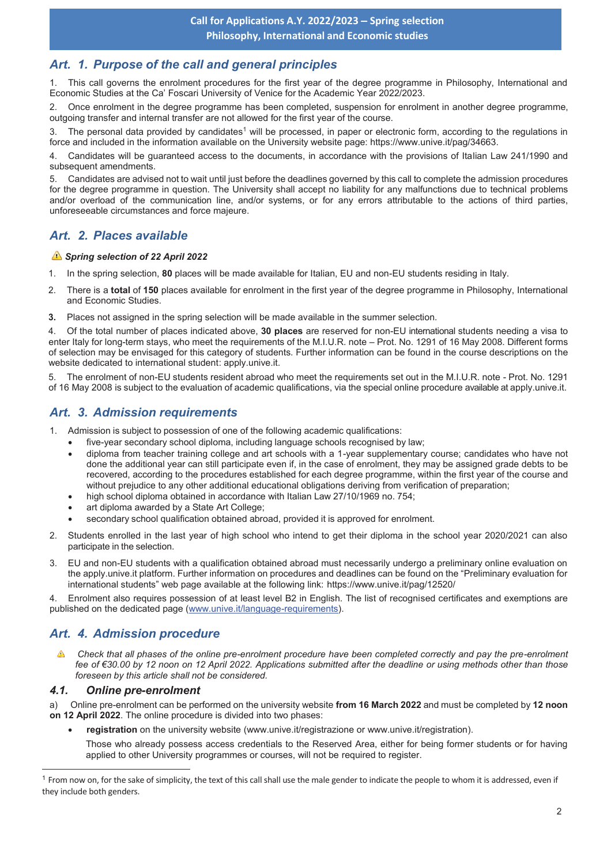## *Art. 1. Purpose of the call and general principles*

1. This call governs the enrolment procedures for the first year of the degree programme in Philosophy, International and Economic Studies at the Ca' Foscari University of Venice for the Academic Year 2022/2023.

2. Once enrolment in the degree programme has been completed, suspension for enrolment in another degree programme, outgoing transfer and internal transfer are not allowed for the first year of the course.

3. The personal data provided by candidates<sup>1</sup> will be processed, in paper or electronic form, according to the regulations in force and included in the information available on the University website page: https://www.unive.it/pag/34663.

4. Candidates will be guaranteed access to the documents, in accordance with the provisions of Italian Law 241/1990 and subsequent amendments.

5. Candidates are advised not to wait until just before the deadlines governed by this call to complete the admission procedures for the degree programme in question. The University shall accept no liability for any malfunctions due to technical problems and/or overload of the communication line, and/or systems, or for any errors attributable to the actions of third parties, unforeseeable circumstances and force majeure.

## *Art. 2. Places available*

#### *Spring selection of 22 April 2022*

- 1. In the spring selection, **80** places will be made available for Italian, EU and non-EU students residing in Italy.
- 2. There is a **total** of **150** places available for enrolment in the first year of the degree programme in Philosophy, International and Economic Studies.
- **3.** Places not assigned in the spring selection will be made available in the summer selection.

4. Of the total number of places indicated above, **30 places** are reserved for non-EU international students needing a visa to enter Italy for long-term stays, who meet the requirements of the M.I.U.R. note – Prot. No. 1291 of 16 May 2008. Different forms of selection may be envisaged for this category of students. Further information can be found in the course descriptions on the website dedicated to international student: apply.unive.it.

5. The enrolment of non-EU students resident abroad who meet the requirements set out in the M.I.U.R. note - Prot. No. 1291 of 16 May 2008 is subject to the evaluation of academic qualifications, via the special online procedure available at apply.unive.it.

## *Art. 3. Admission requirements*

- 1. Admission is subject to possession of one of the following academic qualifications:
	- · five-year secondary school diploma, including language schools recognised by law;
	- · diploma from teacher training college and art schools with a 1-year supplementary course; candidates who have not done the additional year can still participate even if, in the case of enrolment, they may be assigned grade debts to be recovered, according to the procedures established for each degree programme, within the first year of the course and without prejudice to any other additional educational obligations deriving from verification of preparation;
	- high school diploma obtained in accordance with Italian Law 27/10/1969 no. 754;
	- art diploma awarded by a State Art College;
	- secondary school qualification obtained abroad, provided it is approved for enrolment.
- 2. Students enrolled in the last year of high school who intend to get their diploma in the school year 2020/2021 can also participate in the selection.
- 3. EU and non-EU students with a qualification obtained abroad must necessarily undergo a preliminary online evaluation on the apply.unive.it platform. Further information on procedures and deadlines can be found on the "Preliminary evaluation for international students" web page available at the following link: https://www.unive.it/pag/12520/

4. Enrolment also requires possession of at least level B2 in English. The list of recognised certificates and exemptions are published on the dedicated page (www.unive.it/language-requirements).

## *Art. 4. Admission procedure*

 *Check that all phases of the online pre-enrolment procedure have been completed correctly and pay the pre-enrolment fee of €30.00 by 12 noon on 12 April 2022. Applications submitted after the deadline or using methods other than those foreseen by this article shall not be considered.* 

#### *4.1. Online pre-enrolment*

 $\overline{a}$ 

a) Online pre-enrolment can be performed on the university website **from 16 March 2022** and must be completed by **12 noon on 12 April 2022**. The online procedure is divided into two phases:

· **registration** on the university website (www.unive.it/registrazione or www.unive.it/registration).

Those who already possess access credentials to the Reserved Area, either for being former students or for having applied to other University programmes or courses, will not be required to register.

 $<sup>1</sup>$  From now on, for the sake of simplicity, the text of this call shall use the male gender to indicate the people to whom it is addressed, even if</sup> they include both genders.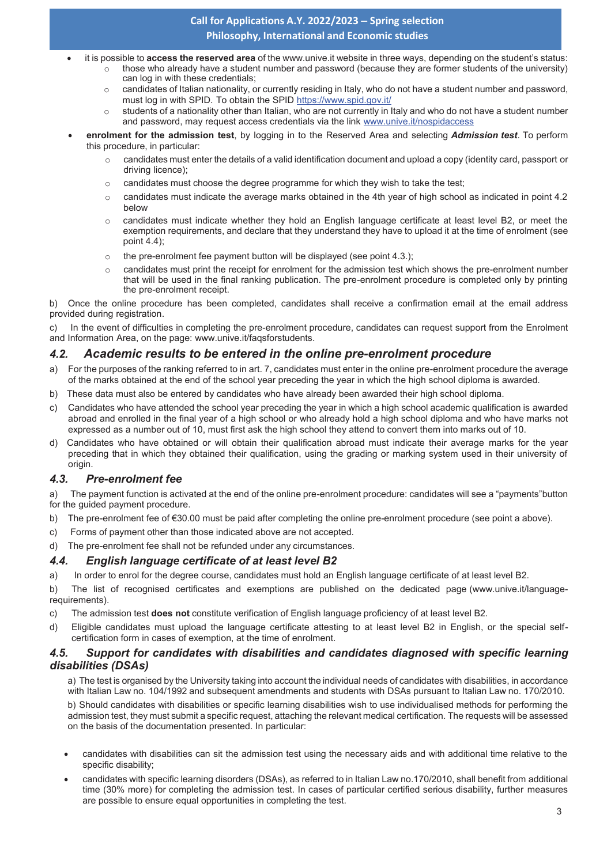## **Call for Applications A.Y. 2022/2023 – Spring selection Philosophy, International and Economic studies**

- · it is possible to **access the reserved area** of the www.unive.it website in three ways, depending on the student's status: those who already have a student number and password (because they are former students of the university)
	- can log in with these credentials:
	- $\circ$  candidates of Italian nationality, or currently residing in Italy, who do not have a student number and password, must log in with SPID. To obtain the SPID https://www.spid.gov.it/
	- $\circ$  students of a nationality other than Italian, who are not currently in Italy and who do not have a student number and password, may request access credentials via the link www.unive.it/nospidaccess
- · **enrolment for the admission test**, by logging in to the Reserved Area and selecting *Admission test*. To perform this procedure, in particular:
	- $\circ$  candidates must enter the details of a valid identification document and upload a copy (identity card, passport or driving licence);
	- $\circ$  candidates must choose the degree programme for which they wish to take the test;
	- o candidates must indicate the average marks obtained in the 4th year of high school as indicated in point 4.2 below
	- o candidates must indicate whether they hold an English language certificate at least level B2, or meet the exemption requirements, and declare that they understand they have to upload it at the time of enrolment (see point 4.4);
	- $\circ$  the pre-enrolment fee payment button will be displayed (see point 4.3.);
	- $\circ$  candidates must print the receipt for enrolment for the admission test which shows the pre-enrolment number that will be used in the final ranking publication. The pre-enrolment procedure is completed only by printing the pre-enrolment receipt.

b) Once the online procedure has been completed, candidates shall receive a confirmation email at the email address provided during registration.

In the event of difficulties in completing the pre-enrolment procedure, candidates can request support from the Enrolment and Information Area, on the page: www.unive.it/faqsforstudents.

## *4.2. Academic results to be entered in the online pre-enrolment procedure*

- a) For the purposes of the ranking referred to in art. 7, candidates must enter in the online pre-enrolment procedure the average of the marks obtained at the end of the school year preceding the year in which the high school diploma is awarded.
- b) These data must also be entered by candidates who have already been awarded their high school diploma.
- c) Candidates who have attended the school year preceding the year in which a high school academic qualification is awarded abroad and enrolled in the final year of a high school or who already hold a high school diploma and who have marks not expressed as a number out of 10, must first ask the high school they attend to convert them into marks out of 10.
- d) Candidates who have obtained or will obtain their qualification abroad must indicate their average marks for the year preceding that in which they obtained their qualification, using the grading or marking system used in their university of origin.

## *4.3. Pre-enrolment fee*

a) The payment function is activated at the end of the online pre-enrolment procedure: candidates will see a "payments" button for the guided payment procedure.

- b) The pre-enrolment fee of  $\epsilon$ 30.00 must be paid after completing the online pre-enrolment procedure (see point a above).
- c) Forms of payment other than those indicated above are not accepted.
- d) The pre-enrolment fee shall not be refunded under any circumstances.

## *4.4. English language certificate of at least level B2*

a) In order to enrol for the degree course, candidates must hold an English language certificate of at least level B2.

b) The list of recognised certificates and exemptions are published on the dedicated page (www.unive.it/languagerequirements).

- c) The admission test **does not** constitute verification of English language proficiency of at least level B2.
- d) Eligible candidates must upload the language certificate attesting to at least level B2 in English, or the special selfcertification form in cases of exemption, at the time of enrolment.

#### *4.5. Support for candidates with disabilities and candidates diagnosed with specific learning disabilities (DSAs)*

a) The test is organised by the University taking into account the individual needs of candidates with disabilities, in accordance with Italian Law no. 104/1992 and subsequent amendments and students with DSAs pursuant to Italian Law no. 170/2010.

b) Should candidates with disabilities or specific learning disabilities wish to use individualised methods for performing the admission test, they must submit a specific request, attaching the relevant medical certification. The requests will be assessed on the basis of the documentation presented. In particular:

- · candidates with disabilities can sit the admission test using the necessary aids and with additional time relative to the specific disability;
- candidates with specific learning disorders (DSAs), as referred to in Italian Law no.170/2010, shall benefit from additional time (30% more) for completing the admission test. In cases of particular certified serious disability, further measures are possible to ensure equal opportunities in completing the test.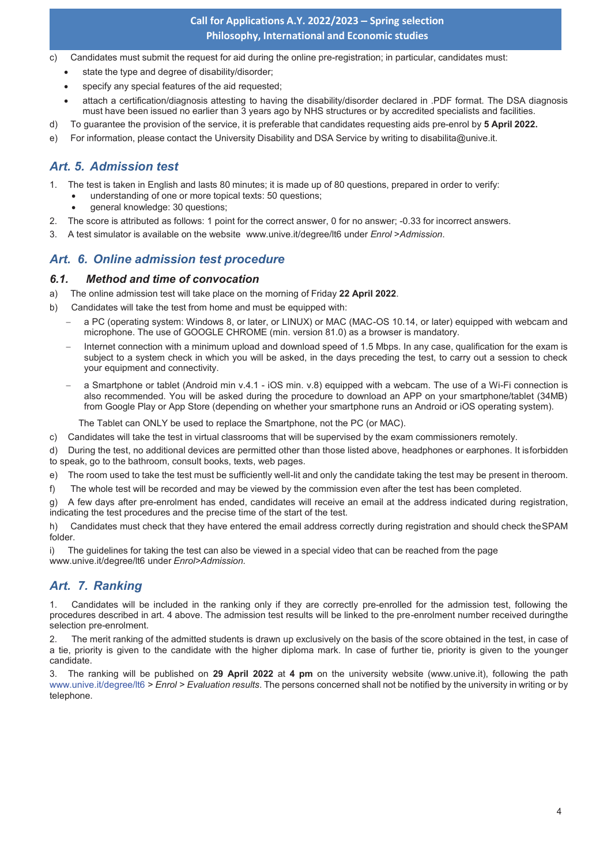## **Call for Applications A.Y. 2022/2023 – Spring selection Philosophy, International and Economic studies**

- c) Candidates must submit the request for aid during the online pre-registration; in particular, candidates must:
	- state the type and degree of disability/disorder;
	- specify any special features of the aid requested:
	- attach a certification/diagnosis attesting to having the disability/disorder declared in .PDF format. The DSA diagnosis must have been issued no earlier than 3 years ago by NHS structures or by accredited specialists and facilities.
- d) To guarantee the provision of the service, it is preferable that candidates requesting aids pre-enrol by **5 April 2022.**
- e) For information, please contact the University Disability and DSA Service by writing to disabilita@unive.it.

## *Art. 5. Admission test*

- 1. The test is taken in English and lasts 80 minutes; it is made up of 80 questions, prepared in order to verify:
	- understanding of one or more topical texts: 50 questions;
	- general knowledge: 30 questions;
- 2. The score is attributed as follows: 1 point for the correct answer, 0 for no answer; -0.33 for incorrect answers.
- 3. A test simulator is available on the website www.unive.it/degree/lt6 under *Enrol* >*Admission*.

## *Art. 6. Online admission test procedure*

#### *6.1. Method and time of convocation*

- a) The online admission test will take place on the morning of Friday **22 April 2022**.
- b) Candidates will take the test from home and must be equipped with:
	- a PC (operating system: Windows 8, or later, or LINUX) or MAC (MAC-OS 10.14, or later) equipped with webcam and microphone. The use of GOOGLE CHROME (min. version 81.0) as a browser is mandatory.
	- Internet connection with a minimum upload and download speed of 1.5 Mbps. In any case, qualification for the exam is subject to a system check in which you will be asked, in the days preceding the test, to carry out a session to check your equipment and connectivity.
	- a Smartphone or tablet (Android min v.4.1 iOS min. v.8) equipped with a webcam. The use of a Wi-Fi connection is also recommended. You will be asked during the procedure to download an APP on your smartphone/tablet (34MB) from Google Play or App Store (depending on whether your smartphone runs an Android or iOS operating system).

The Tablet can ONLY be used to replace the Smartphone, not the PC (or MAC).

- c) Candidates will take the test in virtual classrooms that will be supervised by the exam commissioners remotely.
- d) During the test, no additional devices are permitted other than those listed above, headphones or earphones. It is forbidden to speak, go to the bathroom, consult books, texts, web pages.
- e) The room used to take the test must be sufficiently well-lit and only the candidate taking the test may be present in the room.
- f) The whole test will be recorded and may be viewed by the commission even after the test has been completed.

g) A few days after pre-enrolment has ended, candidates will receive an email at the address indicated during registration, indicating the test procedures and the precise time of the start of the test.

h) Candidates must check that they have entered the email address correctly during registration and should check the SPAM folder.

i) The guidelines for taking the test can also be viewed in a special video that can be reached from the page www.unive.it/degree/lt6 under *Enrol>Admission.* 

## *Art. 7. Ranking*

1. Candidates will be included in the ranking only if they are correctly pre-enrolled for the admission test, following the procedures described in art. 4 above. The admission test results will be linked to the pre-enrolment number received during the selection pre-enrolment.

2. The merit ranking of the admitted students is drawn up exclusively on the basis of the score obtained in the test, in case of a tie, priority is given to the candidate with the higher diploma mark. In case of further tie, priority is given to the younger candidate.

3. The ranking will be published on **29 April 2022** at **4 pm** on the university website (www.unive.it), following the path www.unive.it/degree/lt6 *> Enrol > Evaluation results*. The persons concerned shall not be notified by the university in writing or by telephone.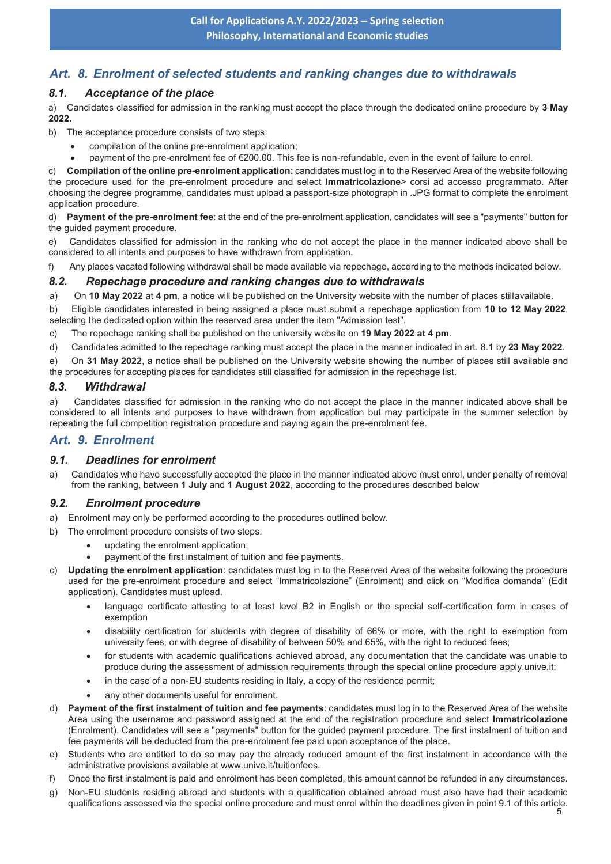## *Art. 8. Enrolment of selected students and ranking changes due to withdrawals*

#### *8.1. Acceptance of the place*

a) Candidates classified for admission in the ranking must accept the place through the dedicated online procedure by **3 May 2022.** 

- b) The acceptance procedure consists of two steps:
	- compilation of the online pre-enrolment application;
	- payment of the pre-enrolment fee of €200.00. This fee is non-refundable, even in the event of failure to enrol.

c) **Compilation of the online pre-enrolment application:** candidates must log in to the Reserved Area of the website following the procedure used for the pre-enrolment procedure and select **Immatricolazione**> corsi ad accesso programmato. After choosing the degree programme, candidates must upload a passport-size photograph in .JPG format to complete the enrolment application procedure.

d) **Payment of the pre-enrolment fee**: at the end of the pre-enrolment application, candidates will see a "payments" button for the guided payment procedure.

e) Candidates classified for admission in the ranking who do not accept the place in the manner indicated above shall be considered to all intents and purposes to have withdrawn from application.

f) Any places vacated following withdrawal shall be made available via repechage, according to the methods indicated below.

#### *8.2. Repechage procedure and ranking changes due to withdrawals*

a) On 10 May 2022 at 4 pm, a notice will be published on the University website with the number of places stillavailable.

b) Eligible candidates interested in being assigned a place must submit a repechage application from **10 to 12 May 2022**, selecting the dedicated option within the reserved area under the item "Admission test".

c) The repechage ranking shall be published on the university website on **19 May 2022 at 4 pm**.

d) Candidates admitted to the repechage ranking must accept the place in the manner indicated in art. 8.1 by **23 May 2022**.

e) On **31 May 2022**, a notice shall be published on the University website showing the number of places still available and the procedures for accepting places for candidates still classified for admission in the repechage list.

#### *8.3. Withdrawal*

a) Candidates classified for admission in the ranking who do not accept the place in the manner indicated above shall be considered to all intents and purposes to have withdrawn from application but may participate in the summer selection by repeating the full competition registration procedure and paying again the pre-enrolment fee.

## *Art. 9. Enrolment*

#### *9.1. Deadlines for enrolment*

a) Candidates who have successfully accepted the place in the manner indicated above must enrol, under penalty of removal from the ranking, between **1 July** and **1 August 2022**, according to the procedures described below

#### *9.2. Enrolment procedure*

- a) Enrolment may only be performed according to the procedures outlined below.
- b) The enrolment procedure consists of two steps:
	- updating the enrolment application:
	- payment of the first instalment of tuition and fee payments.
- c) **Updating the enrolment application**: candidates must log in to the Reserved Area of the website following the procedure used for the pre-enrolment procedure and select "Immatricolazione" (Enrolment) and click on "Modifica domanda" (Edit application). Candidates must upload.
	- language certificate attesting to at least level B2 in English or the special self-certification form in cases of exemption
	- · disability certification for students with degree of disability of 66% or more, with the right to exemption from university fees, or with degree of disability of between 50% and 65%, with the right to reduced fees;
	- for students with academic qualifications achieved abroad, any documentation that the candidate was unable to produce during the assessment of admission requirements through the special online procedure apply.unive.it;
	- · in the case of a non-EU students residing in Italy, a copy of the residence permit;
	- any other documents useful for enrolment
- d) **Payment of the first instalment of tuition and fee payments**: candidates must log in to the Reserved Area of the website Area using the username and password assigned at the end of the registration procedure and select **Immatricolazione** (Enrolment). Candidates will see a "payments" button for the guided payment procedure. The first instalment of tuition and fee payments will be deducted from the pre-enrolment fee paid upon acceptance of the place.
- e) Students who are entitled to do so may pay the already reduced amount of the first instalment in accordance with the administrative provisions available at www.unive.it/tuitionfees.
- f) Once the first instalment is paid and enrolment has been completed, this amount cannot be refunded in any circumstances.
- g) Non-EU students residing abroad and students with a qualification obtained abroad must also have had their academic qualifications assessed via the special online procedure and must enrol within the deadlines given in point 9.1 of this article.